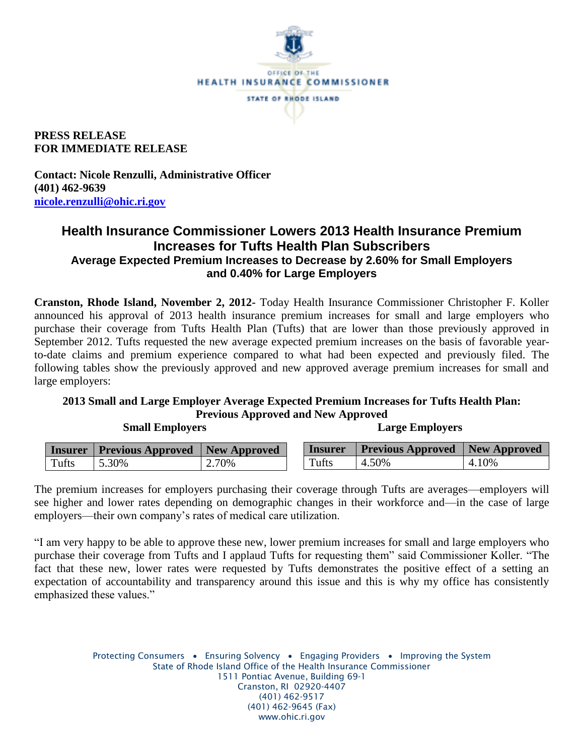

**PRESS RELEASE FOR IMMEDIATE RELEASE**

**Contact: Nicole Renzulli, Administrative Officer (401) 462-9639 [nicole.renzulli@ohic.ri.gov](mailto:nicole.renzulli@ohic.ri.gov)**

## **Health Insurance Commissioner Lowers 2013 Health Insurance Premium Increases for Tufts Health Plan Subscribers Average Expected Premium Increases to Decrease by 2.60% for Small Employers and 0.40% for Large Employers**

**Cranston, Rhode Island, November 2, 2012-** Today Health Insurance Commissioner Christopher F. Koller announced his approval of 2013 health insurance premium increases for small and large employers who purchase their coverage from Tufts Health Plan (Tufts) that are lower than those previously approved in September 2012. Tufts requested the new average expected premium increases on the basis of favorable yearto-date claims and premium experience compared to what had been expected and previously filed. The following tables show the previously approved and new approved average premium increases for small and large employers:

## **2013 Small and Large Employer Average Expected Premium Increases for Tufts Health Plan: Previous Approved and New Approved**

 **Small Employers Large Employers**

| <b>Insurer</b> | <b>Previous Approved</b> New Approved |       | <i>l</i> nsurer | <b>Previous Approved</b> New Approved |       |
|----------------|---------------------------------------|-------|-----------------|---------------------------------------|-------|
| Tufts          | 5.30%                                 | 2.70% | $T$ ufts        | 4.50%                                 | 4.10% |

The premium increases for employers purchasing their coverage through Tufts are averages—employers will see higher and lower rates depending on demographic changes in their workforce and—in the case of large employers—their own company's rates of medical care utilization.

"I am very happy to be able to approve these new, lower premium increases for small and large employers who purchase their coverage from Tufts and I applaud Tufts for requesting them" said Commissioner Koller. "The fact that these new, lower rates were requested by Tufts demonstrates the positive effect of a setting an expectation of accountability and transparency around this issue and this is why my office has consistently emphasized these values."